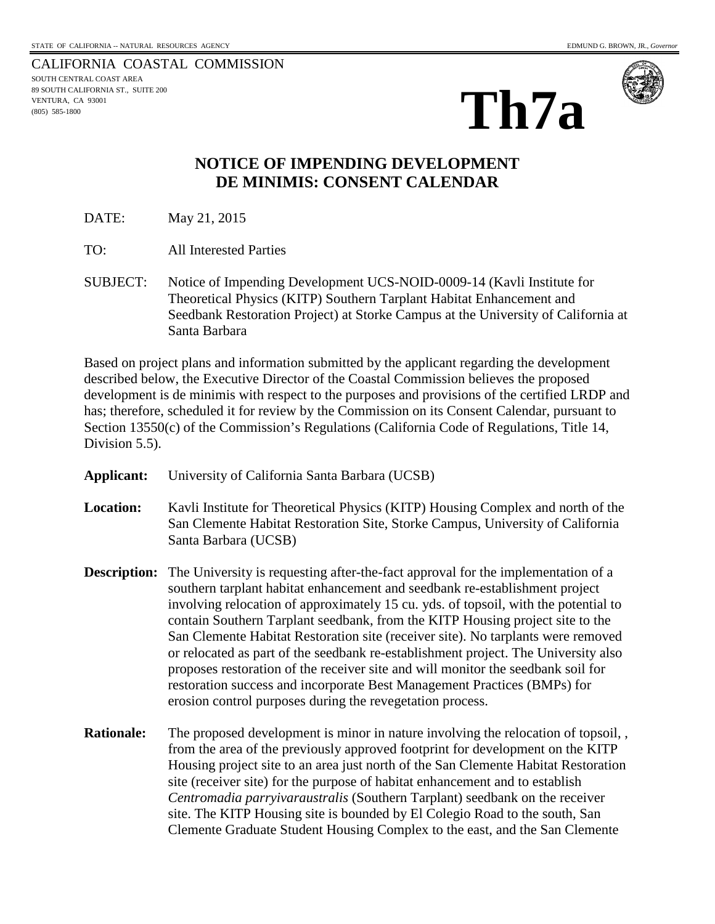CALIFORNIA COASTAL COMMISSION SOUTH CENTRAL COAST AREA 89 SOUTH CALIFORNIA ST., SUITE 200 VENTURA, CA 93001 (805) 585-1800





## **NOTICE OF IMPENDING DEVELOPMENT DE MINIMIS: CONSENT CALENDAR**

DATE: May 21, 2015

- TO: All Interested Parties
- SUBJECT: Notice of Impending Development UCS-NOID-0009-14 (Kavli Institute for Theoretical Physics (KITP) Southern Tarplant Habitat Enhancement and Seedbank Restoration Project) at Storke Campus at the University of California at Santa Barbara

Based on project plans and information submitted by the applicant regarding the development described below, the Executive Director of the Coastal Commission believes the proposed development is de minimis with respect to the purposes and provisions of the certified LRDP and has; therefore, scheduled it for review by the Commission on its Consent Calendar, pursuant to Section 13550(c) of the Commission's Regulations (California Code of Regulations, Title 14, Division 5.5).

- **Applicant:** University of California Santa Barbara (UCSB)
- **Location:** Kavli Institute for Theoretical Physics (KITP) Housing Complex and north of the San Clemente Habitat Restoration Site, Storke Campus, University of California Santa Barbara (UCSB)
- **Description:** The University is requesting after-the-fact approval for the implementation of a southern tarplant habitat enhancement and seedbank re-establishment project involving relocation of approximately 15 cu. yds. of topsoil, with the potential to contain Southern Tarplant seedbank, from the KITP Housing project site to the San Clemente Habitat Restoration site (receiver site). No tarplants were removed or relocated as part of the seedbank re-establishment project. The University also proposes restoration of the receiver site and will monitor the seedbank soil for restoration success and incorporate Best Management Practices (BMPs) for erosion control purposes during the revegetation process.
- **Rationale:** The proposed development is minor in nature involving the relocation of topsoil, , from the area of the previously approved footprint for development on the KITP Housing project site to an area just north of the San Clemente Habitat Restoration site (receiver site) for the purpose of habitat enhancement and to establish *Centromadia parryivaraustralis* (Southern Tarplant) seedbank on the receiver site. The KITP Housing site is bounded by El Colegio Road to the south, San Clemente Graduate Student Housing Complex to the east, and the San Clemente